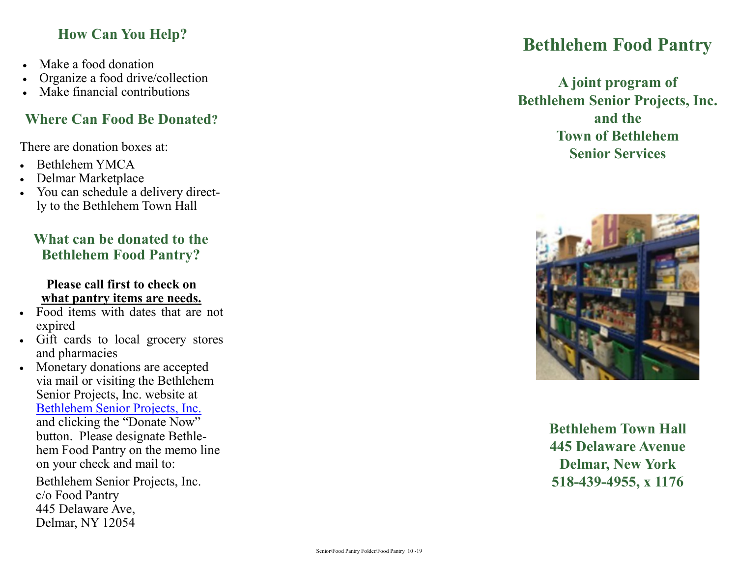## **How Can You Help?**

- Make a food donation
- Organize a food drive/collection
- Make financial contributions

# **Where Can Food Be Donated ?**

There are donation boxes at:

- Bethlehem YMCA
- Delmar Marketplace
- You can schedule a delivery directly to the Bethlehem Town Hall

## **What can be donated to the Bethlehem Food Pantry?**

#### **Please call first to check on what pantry items are needs.**

- Food items with dates that are not expired
- Gift cards to local grocery stores and pharmacies
- Monetary donations are accepted via mail or visiting the Bethlehem Senior Projects, Inc. website at [Bethlehem Senior Projects, Inc.](https://www.bethlehemseniorproject.org/) and clicking the "Donate Now" button. Please designate Bethlehem Food Pantry on the memo line on your check and mail to:

Bethlehem Senior Projects, Inc. c/o Food Pantry 445 Delaware Ave, Delmar, NY 12054

# **Bethlehem Food Pantry**

**A joint program of Bethlehem Senior Projects, Inc. and the Town of Bethlehem Senior Services** 



**Bethlehem Town Hall 445 Delaware Avenue Delmar, New York 518 -439 -4955, x 1176**